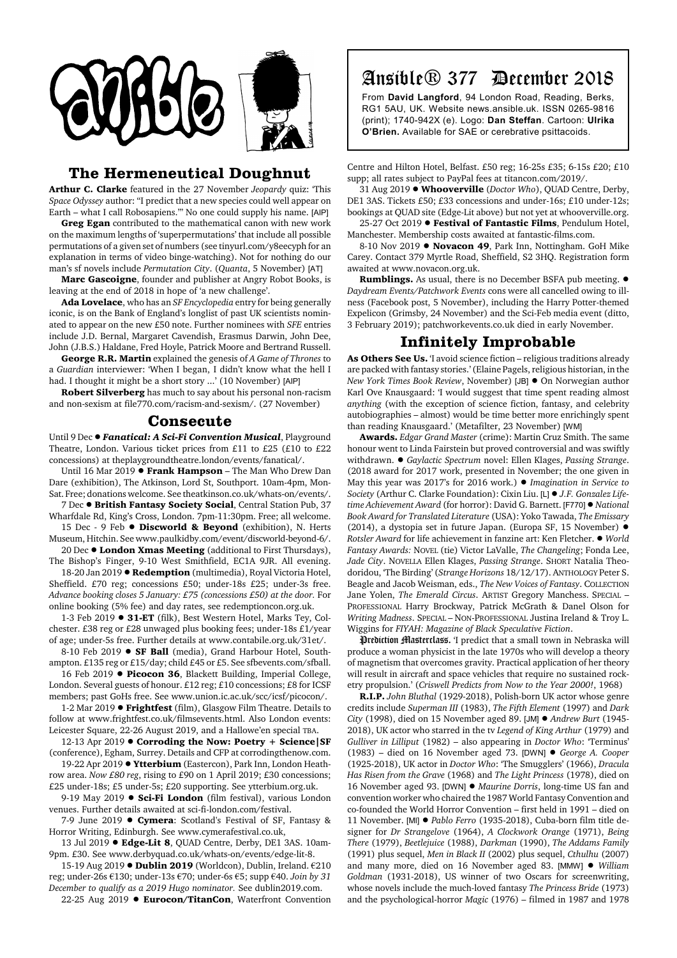

### **The Hermeneutical Doughnut**

**Arthur C. Clarke** featured in the 27 November *Jeopardy* quiz: 'This *Space Odyssey* author: "I predict that a new species could well appear on Earth – what I call Robosapiens."' No one could supply his name. [AIP]

**Greg Egan** contributed to the mathematical canon with new work on the maximum lengths of 'superpermutations' that include all possible permutations of a given set of numbers (see tinyurl.com/y8eecyph for an explanation in terms of video binge-watching). Not for nothing do our man's sf novels include *Permutation City*. (*Quanta*, 5 November) [AT]

**Marc Gascoigne**, founder and publisher at Angry Robot Books, is leaving at the end of 2018 in hope of 'a new challenge'.

**Ada Lovelace**, who has an *SF Encyclopedia* entry for being generally iconic, is on the Bank of England's longlist of past UK scientists nominated to appear on the new £50 note. Further nominees with *SFE* entries include J.D. Bernal, Margaret Cavendish, Erasmus Darwin, John Dee, John (J.B.S.) Haldane, Fred Hoyle, Patrick Moore and Bertrand Russell.

**George R.R. Martin** explained the genesis of *A Game of Thrones* to a *Guardian* interviewer: 'When I began, I didn't know what the hell I had. I thought it might be a short story ...' (10 November) [AIP]

**Robert Silverberg** has much to say about his personal non-racism and non-sexism at file770.com/racism-and-sexism/. (27 November)

### **Consecute**

Until 9 Dec . Fanatical: A Sci-Fi Convention Musical, Playground Theatre, London. Various ticket prices from £11 to £25 (£10 to £22 concessions) at theplaygroundtheatre.london/events/fanatical/.

Until 16 Mar 2019 **· Frank Hampson** – The Man Who Drew Dan Dare (exhibition), The Atkinson, Lord St, Southport. 10am-4pm, Mon-Sat. Free; donations welcome. See theatkinson.co.uk/whats-on/events/.

7 Dec ! **British Fantasy Society Social**, Central Station Pub, 37 Wharfdale Rd, King's Cross, London. 7pm-11:30pm. Free; all welcome. 15 Dec - 9 Feb  $\bullet$  **Discworld & Beyond** (exhibition), N. Herts

Museum, Hitchin. See www.paulkidby.com/event/discworld-beyond-6/. 20 Dec  $\bullet$  London Xmas Meeting (additional to First Thursdays),

The Bishop's Finger, 9-10 West Smithfield, EC1A 9JR. All evening. 18-20 Jan 2019 **· Redemption** (multimedia), Royal Victoria Hotel, Sheffield. £70 reg; concessions £50; under-18s £25; under-3s free. *Advance booking closes 5 January: £75 (concessions £50) at the door.* For online booking (5% fee) and day rates, see redemptioncon.org.uk.

1-3 Feb 2019 . 31-ET (filk), Best Western Hotel, Marks Tey, Colchester. £38 reg or £28 unwaged plus booking fees; under-18s £1/year of age; under-5s free. Further details at www.contabile.org.uk/31et/.

8-10 Feb 2019 . SF Ball (media), Grand Harbour Hotel, Southampton. £135 reg or £15/day; child £45 or £5. See sfbevents.com/sfball.

16 Feb 2019 **· Picocon 36**, Blackett Building, Imperial College, London. Several guests of honour. £12 reg; £10 concessions; £8 for ICSF members; past GoHs free. See www.union.ic.ac.uk/scc/icsf/picocon/.

1-2 Mar 2019 **· Frightfest** (film), Glasgow Film Theatre. Details to follow at www.frightfest.co.uk/filmsevents.html. Also London events: Leicester Square, 22-26 August 2019, and a Hallowe'en special TBA.

12-13 Apr 2019  $\bullet$  Corroding the Now: Poetry + Science SF (conference), Egham, Surrey. Details and CFP at corrodingthenow.com.

19-22 Apr 2019 . Ytterbium (Eastercon), Park Inn, London Heathrow area. *Now £80 reg*, rising to £90 on 1 April 2019; £30 concessions; £25 under-18s; £5 under-5s; £20 supporting. See ytterbium.org.uk.

9-19 May 2019 **· Sci-Fi London** (film festival), various London venues. Further details awaited at sci-fi-london.com/festival.

7-9 June 2019 **• Cymera**: Scotland's Festival of SF, Fantasy & Horror Writing, Edinburgh. See www.cymerafestival.co.uk,

13 Jul 2019 **• Edge-Lit 8**, OUAD Centre, Derby, DE1 3AS. 10am-9pm. £30. See www.derbyquad.co.uk/whats-on/events/edge-lit-8.

15-19 Aug 2019 **. Dublin 2019** (Worldcon), Dublin, Ireland. €210 reg; under-26s €130; under-13s €70; under-6s €5; supp €40. *Join by 31 December to qualify as a 2019 Hugo nominator.* See dublin2019.com.

22-25 Aug 2019 **· Eurocon/TitanCon**, Waterfront Convention

# Ansible® 377 December 2018

From **David Langford**, 94 London Road, Reading, Berks, RG1 5AU, UK. Website news.ansible.uk. ISSN 0265-9816 (print); 1740-942X (e). Logo: **Dan Steffan**. Cartoon: **Ulrika O'Brien.** Available for SAE or cerebrative psittacoids.

Centre and Hilton Hotel, Belfast. £50 reg; 16-25s £35; 6-15s £20; £10 supp; all rates subject to PayPal fees at titancon.com/2019/.

31 Aug 2019 ! **Whooverville** (*Doctor Who*), QUAD Centre, Derby, DE1 3AS. Tickets £50; £33 concessions and under-16s; £10 under-12s; bookings at QUAD site (Edge-Lit above) but not yet at whooverville.org.

25-27 Oct 2019 **· Festival of Fantastic Films**, Pendulum Hotel, Manchester. Membership costs awaited at fantastic-films.com.

8-10 Nov 2019 **· Novacon 49**, Park Inn, Nottingham. GoH Mike Carey. Contact 379 Myrtle Road, Sheffield, S2 3HQ. Registration form awaited at www.novacon.org.uk.

**Rumblings.** As usual, there is no December BSFA pub meeting. ! *Daydream Events/Patchwork Events* cons were all cancelled owing to illness (Facebook post, 5 November), including the Harry Potter-themed Expelicon (Grimsby, 24 November) and the Sci-Feb media event (ditto, 3 February 2019); patchworkevents.co.uk died in early November.

## **Infinitely Improbable**

**As Others See Us.** 'I avoid science fiction – religious traditions already are packed with fantasy stories.' (Elaine Pagels, religious historian, in the *New York Times Book Review*, November) [JB]  $\bullet$  On Norwegian author Karl Ove Knausgaard: 'I would suggest that time spent reading almost *anything* (with the exception of science fiction, fantasy, and celebrity autobiographies – almost) would be time better more enrichingly spent than reading Knausgaard.' (Metafilter, 23 November) [WM]

**Awards.** *Edgar Grand Master* (crime): Martin Cruz Smith. The same honour went to Linda Fairstein but proved controversial and was swiftly withdrawn. ! *Gaylactic Spectrum* novel: Ellen Klages, *Passing Strange*. (2018 award for 2017 work, presented in November; the one given in May this year was 2017's for 2016 work.) ! *Imagination in Service to Society* (Arthur C. Clarke Foundation): Cixin Liu. [L] ! *J.F. Gonzalez Lifetime Achievement Award* (for horror): David G. Barnett. [F770] ! *National Book Award for Translated Literature* (USA): Yoko Tawada, *The Emissary* (2014), a dystopia set in future Japan. (Europa SF, 15 November) ! *Rotsler Award* for life achievement in fanzine art: Ken Fletcher. ! *World Fantasy Awards:* NOVEL (tie) Victor LaValle, *The Changeling*; Fonda Lee, *Jade City*. NOVELLA Ellen Klages, *Passing Strange*. SHORT Natalia Theodoridou, 'The Birding' (*Strange Horizons* 18/12/17). ANTHOLOGY Peter S. Beagle and Jacob Weisman, eds., *The New Voices of Fantasy*. COLLECTION Jane Yolen, *The Emerald Circus*. ARTIST Gregory Manchess. SPECIAL – PROFESSIONAL Harry Brockway, Patrick McGrath & Danel Olson for *Writing Madness*. SPECIAL – NON-PROFESSIONAL Justina Ireland & Troy L. Wiggins for *FIYAH: Magazine of Black Speculative Fiction*.

Prediction Masterclass. 'I predict that a small town in Nebraska will produce a woman physicist in the late 1970s who will develop a theory of magnetism that overcomes gravity. Practical application of her theory will result in aircraft and space vehicles that require no sustained rocketry propulsion.' (*Criswell Predicts from Now to the Year 2000!*, 1968)

**R.I.P.** *John Bluthal* (1929-2018), Polish-born UK actor whose genre credits include *Superman III* (1983), *The Fifth Element* (1997) and *Dark City* (1998), died on 15 November aged 89. [JM] ! *Andrew Burt* (1945- 2018), UK actor who starred in the tv *Legend of King Arthur* (1979) and *Gulliver in Lilliput* (1982) – also appearing in *Doctor Who*: 'Terminus' (1983) – died on 16 November aged 73. [DWN] ! *George A. Cooper* (1925-2018), UK actor in *Doctor Who*: 'The Smugglers' (1966), *Dracula Has Risen from the Grave* (1968) and *The Light Princess* (1978), died on 16 November aged 93. [DWN] ! *Maurine Dorris*, long-time US fan and convention worker who chaired the 1987 World Fantasy Convention and co-founded the World Horror Convention – first held in 1991 – died on 11 November. [MI] ! *Pablo Ferro* (1935-2018), Cuba-born film title designer for *Dr Strangelove* (1964), *A Clockwork Orange* (1971), *Being There* (1979), *Beetlejuice* (1988), *Darkman* (1990), *The Addams Family* (1991) plus sequel, *Men in Black II* (2002) plus sequel, *Cthulhu* (2007) and many more, died on 16 November aged 83. [MMW]  $\bullet$  William *Goldman* (1931-2018), US winner of two Oscars for screenwriting, whose novels include the much-loved fantasy *The Princess Bride* (1973) and the psychological-horror *Magic* (1976) – filmed in 1987 and 1978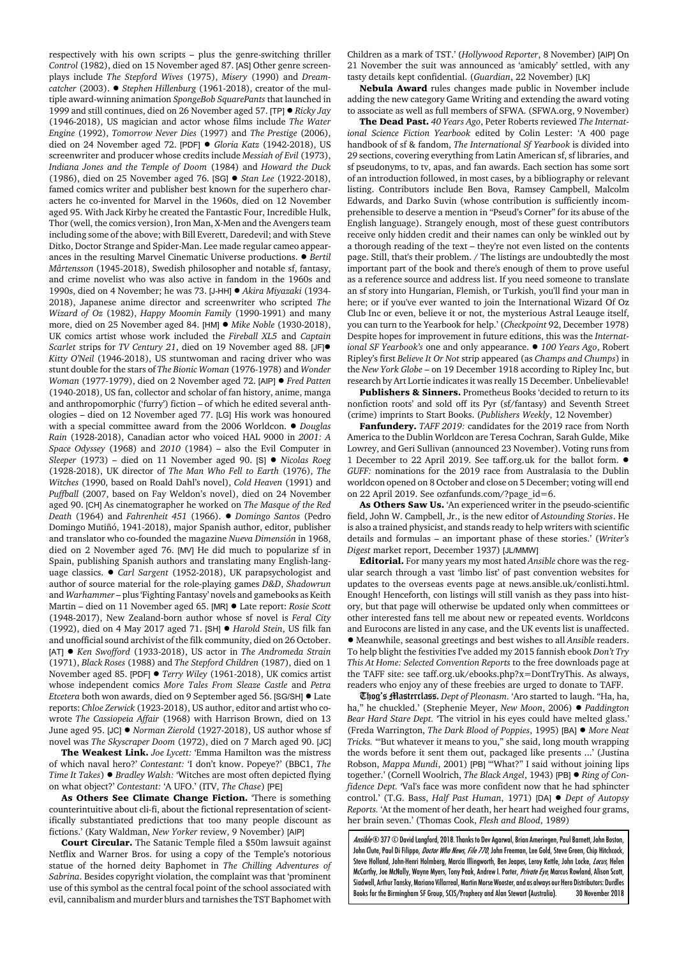respectively with his own scripts – plus the genre-switching thriller *Control* (1982), died on 15 November aged 87. [AS] Other genre screenplays include *The Stepford Wives* (1975), *Misery* (1990) and *Dreamcatcher* (2003). ● *Stephen Hillenburg* (1961-2018), creator of the multiple award-winning animation *SpongeBob SquarePants* that launched in 1999 and still continues, died on 26 November aged 57. [TP] ! *Ricky Jay* (1946-2018), US magician and actor whose films include *The Water Engine* (1992), *Tomorrow Never Dies* (1997) and *The Prestige* (2006), died on 24 November aged 72. [PDF] ! *Gloria Katz* (1942-2018), US screenwriter and producer whose credits include *Messiah of Evil* (1973), *Indiana Jones and the Temple of Doom* (1984) and *Howard the Duck* (1986), died on 25 November aged 76. [SG] ! *Stan Lee* (1922-2018), famed comics writer and publisher best known for the superhero characters he co-invented for Marvel in the 1960s, died on 12 November aged 95. With Jack Kirby he created the Fantastic Four, Incredible Hulk, Thor (well, the comics version), Iron Man, X-Men and the Avengers team including some of the above; with Bill Everett, Daredevil; and with Steve Ditko, Doctor Strange and Spider-Man. Lee made regular cameo appearances in the resulting Marvel Cinematic Universe productions. ! *Bertil Mårtensson* (1945-2018), Swedish philosopher and notable sf, fantasy, and crime novelist who was also active in fandom in the 1960s and 1990s, died on 4 November; he was 73. [J-HH] ! *Akira Miyazaki* (1934- 2018), Japanese anime director and screenwriter who scripted *The Wizard of Oz* (1982), *Happy Moomin Family* (1990-1991) and many more, died on 25 November aged 84. [HM] ! *Mike Noble* (1930-2018), UK comics artist whose work included the *Fireball XL5* and *Captain Scarlet* strips for *TV Century 21*, died on 19 November aged 88. [JF]! *Kitty O'Neil* (1946-2018), US stuntwoman and racing driver who was stunt double for the stars of *The Bionic Woman* (1976-1978) and *Wonder Woman* (1977-1979), died on 2 November aged 72. [AIP] ! *Fred Patten* (1940-2018), US fan, collector and scholar of fan history, anime, manga and anthropomorphic ('furry') fiction – of which he edited several anthologies – died on 12 November aged 77. [LG] His work was honoured with a special committee award from the 2006 Worldcon. ! *Douglas Rain* (1928-2018), Canadian actor who voiced HAL 9000 in *2001: A Space Odyssey* (1968) and *2010* (1984) – also the Evil Computer in *Sleeper* (1973) – died on 11 November aged 90. [S] ! *Nicolas Roeg* (1928-2018), UK director of *The Man Who Fell to Earth* (1976), *The Witches* (1990, based on Roald Dahl's novel), *Cold Heaven* (1991) and *Puffball* (2007, based on Fay Weldon's novel), died on 24 November aged 90. [CH] As cinematographer he worked on *The Masque of the Red Death* (1964) and *Fahrenheit 451* (1966). ! *Domingo Santos* (Pedro Domingo Mutiñó, 1941-2018), major Spanish author, editor, publisher and translator who co-founded the magazine *Nueva Dimensión* in 1968, died on 2 November aged 76. [MV] He did much to popularize sf in Spain, publishing Spanish authors and translating many English-language classics. ! *Carl Sargent* (1952-2018), UK parapsychologist and author of source material for the role-playing games *D&D*, *Shadowrun* and *Warhammer* – plus 'Fighting Fantasy' novels and gamebooks as Keith Martin – died on 11 November aged 65. [MR] ! Late report: *Rosie Scott* (1948-2017), New Zealand-born author whose sf novel is *Feral City* (1992), died on 4 May 2017 aged 71. [SH] ! *Harold Stein*, US filk fan and unofficial sound archivist of the filk community, died on 26 October. [AT] ! *Ken Swofford* (1933-2018), US actor in *The Andromeda Strain* (1971), *Black Roses* (1988) and *The Stepford Children* (1987), died on 1 November aged 85. [PDF] ! *Terry Wiley* (1961-2018), UK comics artist whose independent comics *More Tales From Sleaze Castle* and *Petra Etcetera* both won awards, died on 9 September aged 56. [SG/SH]  $\bullet$  Late reports: *Chloe Zerwick* (1923-2018), US author, editor and artist who cowrote *The Cassiopeia Affair* (1968) with Harrison Brown, died on 13 June aged 95. [JC]  $\bullet$  *Norman Zierold* (1927-2018), US author whose sf novel was *The Skyscraper Doom* (1972), died on 7 March aged 90. [JC]

**The Weakest Link.** *Joe Lycett:* 'Emma Hamilton was the mistress of which naval hero?' *Contestant:* 'I don't know. Popeye?' (BBC1, *The Time It Takes*) ! *Bradley Walsh:* 'Witches are most often depicted flying on what object?' *Contestant:* 'A UFO.' (ITV, *The Chase*) [PE]

**As Others See Climate Change Fiction.** 'There is something counterintuitive about cli-fi, about the fictional representation of scientifically substantiated predictions that too many people discount as fictions.' (Katy Waldman, *New Yorker* review, 9 November) [AIP]

**Court Circular.** The Satanic Temple filed a \$50m lawsuit against Netflix and Warner Bros. for using a copy of the Temple's notorious statue of the horned deity Baphomet in *The Chilling Adventures of Sabrina*. Besides copyright violation, the complaint was that 'prominent use of this symbol as the central focal point of the school associated with evil, cannibalism and murder blurs and tarnishes the TST Baphomet with

Children as a mark of TST.' (*Hollywood Reporter*, 8 November) [AIP] On 21 November the suit was announced as 'amicably' settled, with any tasty details kept confidential. (*Guardian*, 22 November) [LK]

**Nebula Award** rules changes made public in November include adding the new category Game Writing and extending the award voting to associate as well as full members of SFWA. (SFWA.org, 9 November)

**The Dead Past.** *40 Years Ago*, Peter Roberts reviewed *The International Science Fiction Yearbook* edited by Colin Lester: 'A 400 page handbook of sf & fandom, *The International Sf Yearbook* is divided into 29 sections, covering everything from Latin American sf, sf libraries, and sf pseudonyms, to tv, apas, and fan awards. Each section has some sort of an introduction followed, in most cases, by a bibliography or relevant listing. Contributors include Ben Bova, Ramsey Campbell, Malcolm Edwards, and Darko Suvin (whose contribution is sufficiently incomprehensible to deserve a mention in "Pseud's Corner" for its abuse of the English language). Strangely enough, most of these guest contributors receive only hidden credit and their names can only be winkled out by a thorough reading of the text – they're not even listed on the contents page. Still, that's their problem. / The listings are undoubtedly the most important part of the book and there's enough of them to prove useful as a reference source and address list. If you need someone to translate an sf story into Hungarian, Flemish, or Turkish, you'll find your man in here; or if you've ever wanted to join the International Wizard Of Oz Club Inc or even, believe it or not, the mysterious Astral Leauge itself, you can turn to the Yearbook for help.' (*Checkpoint* 92, December 1978) Despite hopes for improvement in future editions, this was the *International SF Yearbook's* one and only appearance. ! *100 Years Ago*, Robert Ripley's first *Believe It Or Not* strip appeared (as *Champs and Chumps*) in the *New York Globe* – on 19 December 1918 according to Ripley Inc, but research by Art Lortie indicates it was really 15 December. Unbelievable!

**Publishers & Sinners.** Prometheus Books 'decided to return to its nonfiction roots' and sold off its Pyr (sf/fantasy) and Seventh Street (crime) imprints to Start Books. (*Publishers Weekly*, 12 November)

**Fanfundery.** *TAFF 2019:* candidates for the 2019 race from North America to the Dublin Worldcon are Teresa Cochran, Sarah Gulde, Mike Lowrey, and Geri Sullivan (announced 23 November). Voting runs from 1 December to 22 April 2019. See taff.org.uk for the ballot form.  $\bullet$ *GUFF:* nominations for the 2019 race from Australasia to the Dublin worldcon opened on 8 October and close on 5 December; voting will end on 22 April 2019. See ozfanfunds.com/?page\_id=6.

**As Others Saw Us.** 'An experienced writer in the pseudo-scientific field, John W. Campbell, Jr., is the new editor of *Astounding Stories*. He is also a trained physicist, and stands ready to help writers with scientific details and formulas – an important phase of these stories.' (*Writer's Digest* market report, December 1937) [JL/MMW]

**Editorial.** For many years my most hated *Ansible* chore was the regular search through a vast 'limbo list' of past convention websites for updates to the overseas events page at news.ansible.uk/conlisti.html. Enough! Henceforth, con listings will still vanish as they pass into history, but that page will otherwise be updated only when committees or other interested fans tell me about new or repeated events. Worldcons and Eurocons are listed in any case, and the UK events list is unaffected. ! Meanwhile, seasonal greetings and best wishes to all *Ansible* readers. To help blight the festivities I've added my 2015 fannish ebook *Don't Try This At Home: Selected Convention Reports* to the free downloads page at the TAFF site: see taff.org.uk/ebooks.php?x=DontTryThis. As always, readers who enjoy any of these freebies are urged to donate to TAFF.

Thog's Masterclass. *Dept of Pleonasm.* 'Aro started to laugh. "Ha, ha, ha," he chuckled.' (Stephenie Meyer, *New Moon*, 2006) ! *Paddington Bear Hard Stare Dept.* 'The vitriol in his eyes could have melted glass.' (Freda Warrington, *The Dark Blood of Poppies*, 1995) [BA] ! *More Neat Tricks.* '"But whatever it means to you," she said, long mouth wrapping the words before it sent them out, packaged like presents ...' (Justina Robson, *Mappa Mundi*, 2001) [PB] '"What?" I said without joining lips together.' (Cornell Woolrich, *The Black Angel*, 1943) [PB] ! *Ring of Confidence Dept.* 'Val's face was more confident now that he had sphincter control.' (T.G. Bass, *Half Past Human*, 1971) [DA] ! *Dept of Autopsy Reports.* 'At the moment of her death, her heart had weighed four grams, her brain seven.' (Thomas Cook, *Flesh and Blood*, 1989)

Ansible ® 377 © David Langford, 2018. Thanks to Dev Agarwal, Brian Ameringen, Paul Barnett, John Boston, John Clute, Paul Di Filippo, *Doctor Who News, File 770*, John Freeman, Lee Gold, Steve Green, Chip Hitchcock, Steve Holland, John-Henri Holmberg, Marcia Illingworth, Ben Jeapes, Leroy Kettle, John Locke, Locus, Helen McCarthy, Joe McNally, Wayne Myers, Tony Peak, Andrew I. Porter, Private Eye, Marcus Rowland, Alison Scott, Siadwell, Arthur Tansky, Mariano Villarreal, Martin Morse Wooster, and as always our Hero Distributors: Durdles Books for the Birmingham SF Group, SCIS/Prophecy and Alan Stewart (Australia). 30 November 2018